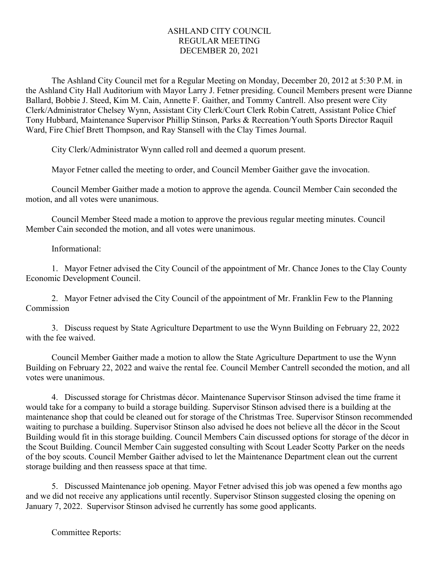## ASHLAND CITY COUNCIL REGULAR MEETING DECEMBER 20, 2021

The Ashland City Council met for a Regular Meeting on Monday, December 20, 2012 at 5:30 P.M. in the Ashland City Hall Auditorium with Mayor Larry J. Fetner presiding. Council Members present were Dianne Ballard, Bobbie J. Steed, Kim M. Cain, Annette F. Gaither, and Tommy Cantrell. Also present were City Clerk/Administrator Chelsey Wynn, Assistant City Clerk/Court Clerk Robin Catrett, Assistant Police Chief Tony Hubbard, Maintenance Supervisor Phillip Stinson, Parks & Recreation/Youth Sports Director Raquil Ward, Fire Chief Brett Thompson, and Ray Stansell with the Clay Times Journal.

City Clerk/Administrator Wynn called roll and deemed a quorum present.

Mayor Fetner called the meeting to order, and Council Member Gaither gave the invocation.

Council Member Gaither made a motion to approve the agenda. Council Member Cain seconded the motion, and all votes were unanimous.

Council Member Steed made a motion to approve the previous regular meeting minutes. Council Member Cain seconded the motion, and all votes were unanimous.

Informational:

1. Mayor Fetner advised the City Council of the appointment of Mr. Chance Jones to the Clay County Economic Development Council.

2. Mayor Fetner advised the City Council of the appointment of Mr. Franklin Few to the Planning Commission

3. Discuss request by State Agriculture Department to use the Wynn Building on February 22, 2022 with the fee waived.

Council Member Gaither made a motion to allow the State Agriculture Department to use the Wynn Building on February 22, 2022 and waive the rental fee. Council Member Cantrell seconded the motion, and all votes were unanimous.

4. Discussed storage for Christmas décor. Maintenance Supervisor Stinson advised the time frame it would take for a company to build a storage building. Supervisor Stinson advised there is a building at the maintenance shop that could be cleaned out for storage of the Christmas Tree. Supervisor Stinson recommended waiting to purchase a building. Supervisor Stinson also advised he does not believe all the décor in the Scout Building would fit in this storage building. Council Members Cain discussed options for storage of the décor in the Scout Building. Council Member Cain suggested consulting with Scout Leader Scotty Parker on the needs of the boy scouts. Council Member Gaither advised to let the Maintenance Department clean out the current storage building and then reassess space at that time.

5. Discussed Maintenance job opening. Mayor Fetner advised this job was opened a few months ago and we did not receive any applications until recently. Supervisor Stinson suggested closing the opening on January 7, 2022. Supervisor Stinson advised he currently has some good applicants.

Committee Reports: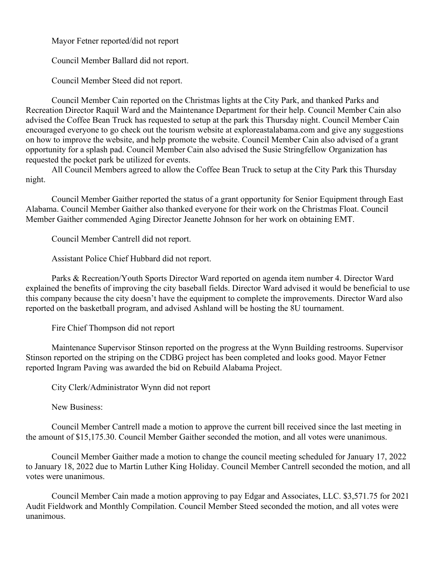Mayor Fetner reported/did not report

Council Member Ballard did not report.

Council Member Steed did not report.

Council Member Cain reported on the Christmas lights at the City Park, and thanked Parks and Recreation Director Raquil Ward and the Maintenance Department for their help. Council Member Cain also advised the Coffee Bean Truck has requested to setup at the park this Thursday night. Council Member Cain encouraged everyone to go check out the tourism website at exploreastalabama.com and give any suggestions on how to improve the website, and help promote the website. Council Member Cain also advised of a grant opportunity for a splash pad. Council Member Cain also advised the Susie Stringfellow Organization has requested the pocket park be utilized for events.

All Council Members agreed to allow the Coffee Bean Truck to setup at the City Park this Thursday night.

Council Member Gaither reported the status of a grant opportunity for Senior Equipment through East Alabama. Council Member Gaither also thanked everyone for their work on the Christmas Float. Council Member Gaither commended Aging Director Jeanette Johnson for her work on obtaining EMT.

Council Member Cantrell did not report.

Assistant Police Chief Hubbard did not report.

Parks & Recreation/Youth Sports Director Ward reported on agenda item number 4. Director Ward explained the benefits of improving the city baseball fields. Director Ward advised it would be beneficial to use this company because the city doesn't have the equipment to complete the improvements. Director Ward also reported on the basketball program, and advised Ashland will be hosting the 8U tournament.

Fire Chief Thompson did not report

Maintenance Supervisor Stinson reported on the progress at the Wynn Building restrooms. Supervisor Stinson reported on the striping on the CDBG project has been completed and looks good. Mayor Fetner reported Ingram Paving was awarded the bid on Rebuild Alabama Project.

City Clerk/Administrator Wynn did not report

New Business:

Council Member Cantrell made a motion to approve the current bill received since the last meeting in the amount of \$15,175.30. Council Member Gaither seconded the motion, and all votes were unanimous.

Council Member Gaither made a motion to change the council meeting scheduled for January 17, 2022 to January 18, 2022 due to Martin Luther King Holiday. Council Member Cantrell seconded the motion, and all votes were unanimous.

Council Member Cain made a motion approving to pay Edgar and Associates, LLC. \$3,571.75 for 2021 Audit Fieldwork and Monthly Compilation. Council Member Steed seconded the motion, and all votes were unanimous.